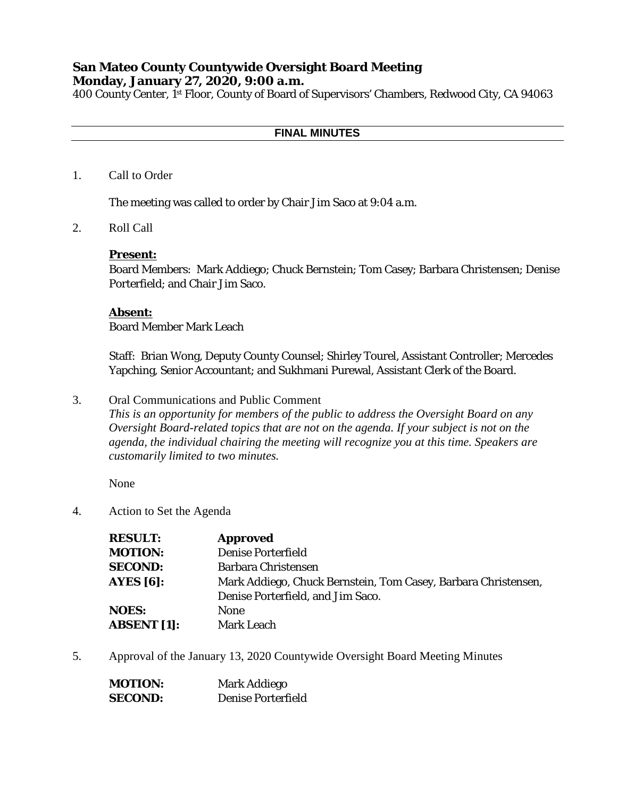# **San Mateo County Countywide Oversight Board Meeting Monday, January 27, 2020, 9:00 a.m.**

400 County Center, 1st Floor, County of Board of Supervisors' Chambers, Redwood City, CA 94063

## **FINAL MINUTES**

1. Call to Order

The meeting was called to order by Chair Jim Saco at 9:04 a.m.

2. Roll Call

### **Present:**

Board Members: Mark Addiego; Chuck Bernstein; Tom Casey; Barbara Christensen; Denise Porterfield; and Chair Jim Saco.

## **Absent:**

Board Member Mark Leach

Staff: Brian Wong, Deputy County Counsel; Shirley Tourel, Assistant Controller; Mercedes Yapching, Senior Accountant; and Sukhmani Purewal, Assistant Clerk of the Board.

3. Oral Communications and Public Comment

*This is an opportunity for members of the public to address the Oversight Board on any Oversight Board-related topics that are not on the agenda. If your subject is not on the agenda, the individual chairing the meeting will recognize you at this time. Speakers are customarily limited to two minutes.*

None

4. Action to Set the Agenda

| <b>RESULT:</b>     | <b>Approved</b>                                                |
|--------------------|----------------------------------------------------------------|
| <b>MOTION:</b>     | <b>Denise Porterfield</b>                                      |
| <b>SECOND:</b>     | Barbara Christensen                                            |
| AYES $[6]$ :       | Mark Addiego, Chuck Bernstein, Tom Casey, Barbara Christensen, |
|                    | Denise Porterfield, and Jim Saco.                              |
| <b>NOES:</b>       | None                                                           |
| <b>ABSENT</b> [1]: | <b>Mark Leach</b>                                              |

5. Approval of the January 13, 2020 Countywide Oversight Board Meeting Minutes

| <b>MOTION:</b> | Mark Addiego       |
|----------------|--------------------|
| <b>SECOND:</b> | Denise Porterfield |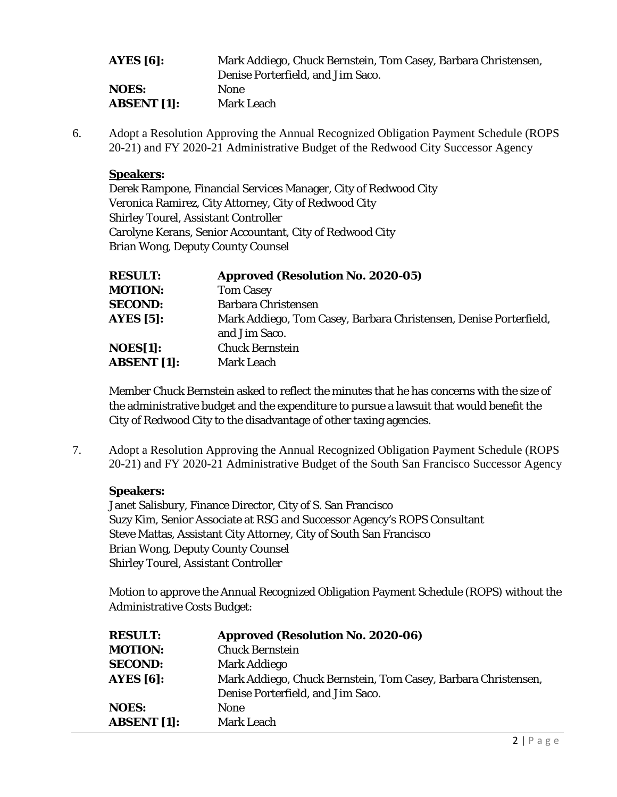| AYES $[6]$ :       | Mark Addiego, Chuck Bernstein, Tom Casey, Barbara Christensen, |
|--------------------|----------------------------------------------------------------|
|                    | Denise Porterfield, and Jim Saco.                              |
| <b>NOES:</b>       | <b>None</b>                                                    |
| <b>ABSENT</b> [1]: | <b>Mark Leach</b>                                              |

6. Adopt a Resolution Approving the Annual Recognized Obligation Payment Schedule (ROPS 20-21) and FY 2020-21 Administrative Budget of the Redwood City Successor Agency

# **Speakers:**

Derek Rampone, Financial Services Manager, City of Redwood City Veronica Ramirez, City Attorney, City of Redwood City Shirley Tourel, Assistant Controller Carolyne Kerans, Senior Accountant, City of Redwood City Brian Wong, Deputy County Counsel

| <b>RESULT:</b>     | <b>Approved (Resolution No. 2020-05)</b>                          |
|--------------------|-------------------------------------------------------------------|
| <b>MOTION:</b>     | <b>Tom Casey</b>                                                  |
| <b>SECOND:</b>     | <b>Barbara Christensen</b>                                        |
| <b>AYES [5]:</b>   | Mark Addiego, Tom Casey, Barbara Christensen, Denise Porterfield, |
|                    | and Jim Saco.                                                     |
| <b>NOES[1]:</b>    | <b>Chuck Bernstein</b>                                            |
| <b>ABSENT [1]:</b> | <b>Mark Leach</b>                                                 |
|                    |                                                                   |

Member Chuck Bernstein asked to reflect the minutes that he has concerns with the size of the administrative budget and the expenditure to pursue a lawsuit that would benefit the City of Redwood City to the disadvantage of other taxing agencies.

7. Adopt a Resolution Approving the Annual Recognized Obligation Payment Schedule (ROPS 20-21) and FY 2020-21 Administrative Budget of the South San Francisco Successor Agency

# **Speakers:**

Janet Salisbury, Finance Director, City of S. San Francisco Suzy Kim, Senior Associate at RSG and Successor Agency's ROPS Consultant Steve Mattas, Assistant City Attorney, City of South San Francisco Brian Wong, Deputy County Counsel Shirley Tourel, Assistant Controller

Motion to approve the Annual Recognized Obligation Payment Schedule (ROPS) without the Administrative Costs Budget:

| <b>RESULT:</b>     | <b>Approved (Resolution No. 2020-06)</b>                       |
|--------------------|----------------------------------------------------------------|
| <b>MOTION:</b>     | <b>Chuck Bernstein</b>                                         |
| <b>SECOND:</b>     | Mark Addiego                                                   |
| AYES $[6]$ :       | Mark Addiego, Chuck Bernstein, Tom Casey, Barbara Christensen, |
|                    | Denise Porterfield, and Jim Saco.                              |
| <b>NOES:</b>       | <b>None</b>                                                    |
| <b>ABSENT</b> [1]: | <b>Mark Leach</b>                                              |